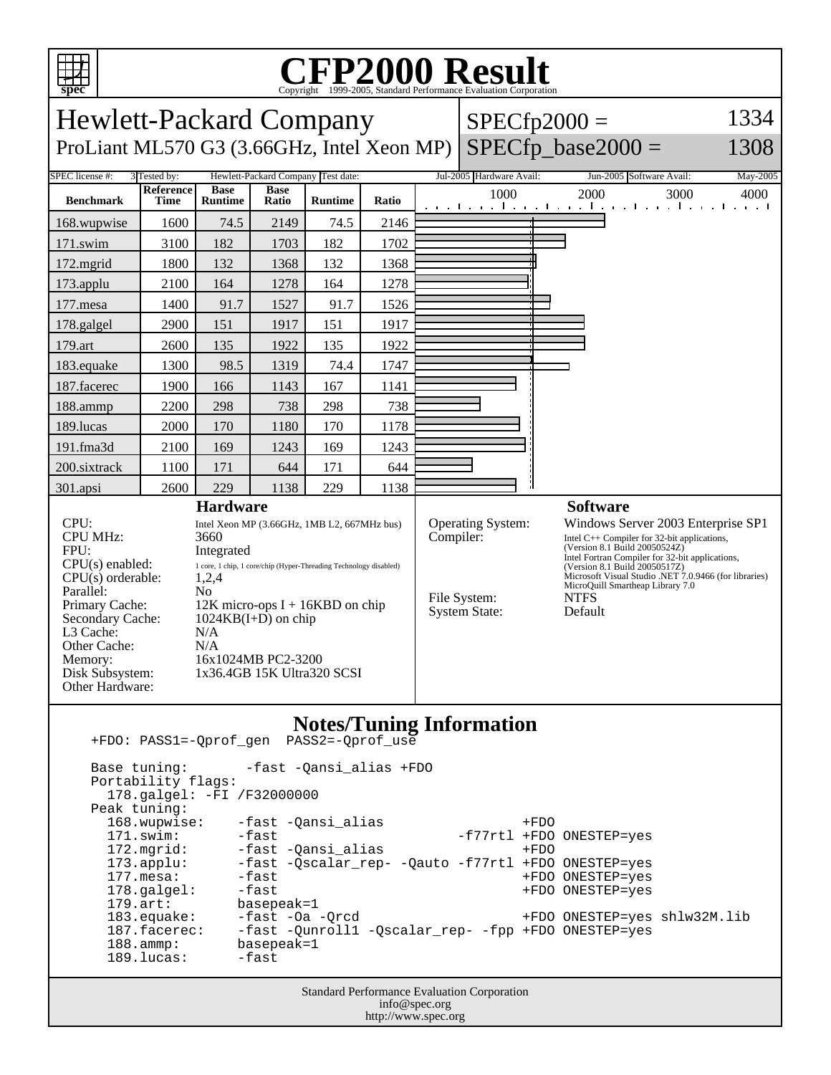

## C<sub>opyright</sub> ©1999-2005, Standard Performance Evaluation Corporation

| <b>Hewlett-Packard Company</b><br>$SPECfp2000 =$                                                                                                                                                                                                                                                                                                                                                                                                                                                                                                                                                                                                                                                                                |                           |                |                                                                                                                                                                                                                                                       |                                    |       |  |                                                                        |                                                                                                                                                                                                                                                                                                                                                    | 1334     |
|---------------------------------------------------------------------------------------------------------------------------------------------------------------------------------------------------------------------------------------------------------------------------------------------------------------------------------------------------------------------------------------------------------------------------------------------------------------------------------------------------------------------------------------------------------------------------------------------------------------------------------------------------------------------------------------------------------------------------------|---------------------------|----------------|-------------------------------------------------------------------------------------------------------------------------------------------------------------------------------------------------------------------------------------------------------|------------------------------------|-------|--|------------------------------------------------------------------------|----------------------------------------------------------------------------------------------------------------------------------------------------------------------------------------------------------------------------------------------------------------------------------------------------------------------------------------------------|----------|
| $SPECfp\_base2000 =$<br>ProLiant ML570 G3 (3.66GHz, Intel Xeon MP)<br>1308                                                                                                                                                                                                                                                                                                                                                                                                                                                                                                                                                                                                                                                      |                           |                |                                                                                                                                                                                                                                                       |                                    |       |  |                                                                        |                                                                                                                                                                                                                                                                                                                                                    |          |
| SPEC license #:                                                                                                                                                                                                                                                                                                                                                                                                                                                                                                                                                                                                                                                                                                                 | 3 Tested by:<br>Reference | <b>Base</b>    | <b>Base</b>                                                                                                                                                                                                                                           | Hewlett-Packard Company Test date: |       |  | Jul-2005 Hardware Avail:<br>1000                                       | Jun-2005 Software Avail:<br>2000                                                                                                                                                                                                                                                                                                                   | May-2005 |
| <b>Benchmark</b>                                                                                                                                                                                                                                                                                                                                                                                                                                                                                                                                                                                                                                                                                                                | <b>Time</b>               | <b>Runtime</b> | Ratio                                                                                                                                                                                                                                                 | <b>Runtime</b>                     | Ratio |  |                                                                        | 3000<br>المتوجبا وتوجا وتوجا وتوجا وتوجا وتوجا وتوجا والمرا                                                                                                                                                                                                                                                                                        | 4000     |
| 168.wupwise                                                                                                                                                                                                                                                                                                                                                                                                                                                                                                                                                                                                                                                                                                                     | 1600                      | 74.5           | 2149                                                                                                                                                                                                                                                  | 74.5                               | 2146  |  |                                                                        |                                                                                                                                                                                                                                                                                                                                                    |          |
| 171.swim                                                                                                                                                                                                                                                                                                                                                                                                                                                                                                                                                                                                                                                                                                                        | 3100                      | 182            | 1703                                                                                                                                                                                                                                                  | 182                                | 1702  |  |                                                                        |                                                                                                                                                                                                                                                                                                                                                    |          |
| 172.mgrid                                                                                                                                                                                                                                                                                                                                                                                                                                                                                                                                                                                                                                                                                                                       | 1800                      | 132            | 1368                                                                                                                                                                                                                                                  | 132                                | 1368  |  |                                                                        |                                                                                                                                                                                                                                                                                                                                                    |          |
| 173.applu                                                                                                                                                                                                                                                                                                                                                                                                                                                                                                                                                                                                                                                                                                                       | 2100                      | 164            | 1278                                                                                                                                                                                                                                                  | 164                                | 1278  |  |                                                                        |                                                                                                                                                                                                                                                                                                                                                    |          |
| 177.mesa                                                                                                                                                                                                                                                                                                                                                                                                                                                                                                                                                                                                                                                                                                                        | 1400                      | 91.7           | 1527                                                                                                                                                                                                                                                  | 91.7                               | 1526  |  |                                                                        |                                                                                                                                                                                                                                                                                                                                                    |          |
| 178.galgel                                                                                                                                                                                                                                                                                                                                                                                                                                                                                                                                                                                                                                                                                                                      | 2900                      | 151            | 1917                                                                                                                                                                                                                                                  | 151                                | 1917  |  |                                                                        |                                                                                                                                                                                                                                                                                                                                                    |          |
| 179.art                                                                                                                                                                                                                                                                                                                                                                                                                                                                                                                                                                                                                                                                                                                         | 2600                      | 135            | 1922                                                                                                                                                                                                                                                  | 135                                | 1922  |  |                                                                        |                                                                                                                                                                                                                                                                                                                                                    |          |
| 183.equake                                                                                                                                                                                                                                                                                                                                                                                                                                                                                                                                                                                                                                                                                                                      | 1300                      | 98.5           | 1319                                                                                                                                                                                                                                                  | 74.4                               | 1747  |  |                                                                        |                                                                                                                                                                                                                                                                                                                                                    |          |
| 187.facerec                                                                                                                                                                                                                                                                                                                                                                                                                                                                                                                                                                                                                                                                                                                     | 1900                      | 166            | 1143                                                                                                                                                                                                                                                  | 167                                | 1141  |  |                                                                        |                                                                                                                                                                                                                                                                                                                                                    |          |
| 188.ammp                                                                                                                                                                                                                                                                                                                                                                                                                                                                                                                                                                                                                                                                                                                        | 2200                      | 298            | 738                                                                                                                                                                                                                                                   | 298                                | 738   |  |                                                                        |                                                                                                                                                                                                                                                                                                                                                    |          |
| 189.lucas                                                                                                                                                                                                                                                                                                                                                                                                                                                                                                                                                                                                                                                                                                                       | 2000                      | 170            | 1180                                                                                                                                                                                                                                                  | 170                                | 1178  |  |                                                                        |                                                                                                                                                                                                                                                                                                                                                    |          |
| 191.fma3d                                                                                                                                                                                                                                                                                                                                                                                                                                                                                                                                                                                                                                                                                                                       | 2100                      | 169            | 1243                                                                                                                                                                                                                                                  | 169                                | 1243  |  |                                                                        |                                                                                                                                                                                                                                                                                                                                                    |          |
| 200.sixtrack                                                                                                                                                                                                                                                                                                                                                                                                                                                                                                                                                                                                                                                                                                                    | 1100                      | 171            | 644                                                                                                                                                                                                                                                   | 171                                | 644   |  |                                                                        |                                                                                                                                                                                                                                                                                                                                                    |          |
| 301.apsi                                                                                                                                                                                                                                                                                                                                                                                                                                                                                                                                                                                                                                                                                                                        | 2600                      | 229            | 1138                                                                                                                                                                                                                                                  | 229                                | 1138  |  |                                                                        |                                                                                                                                                                                                                                                                                                                                                    |          |
| CPU:<br><b>CPU MHz:</b><br>3660<br>FPU:<br>Integrated<br>$CPU(s)$ enabled:<br>$CPU(s)$ orderable:<br>1,2,4<br>Parallel:<br>N <sub>0</sub><br>Primary Cache:<br>Secondary Cache:<br>L3 Cache:<br>N/A<br>Other Cache:<br>N/A<br>Memory:<br>Disk Subsystem:<br>Other Hardware:                                                                                                                                                                                                                                                                                                                                                                                                                                                     |                           |                | <b>Hardware</b><br>Intel Xeon MP (3.66GHz, 1MB L2, 667MHz bus)<br>1 core, 1 chip, 1 core/chip (Hyper-Threading Technology disabled)<br>$12K$ micro-ops I + 16KBD on chip<br>$1024KB(I+D)$ on chip<br>16x1024MB PC2-3200<br>1x36.4GB 15K Ultra320 SCSI |                                    |       |  | Operating System:<br>Compiler:<br>File System:<br><b>System State:</b> | <b>Software</b><br>Windows Server 2003 Enterprise SP1<br>Intel $C++$ Compiler for 32-bit applications,<br>(Version 8.1 Build 20050524Z)<br>Intel Fortran Compiler for 32-bit applications,<br>(Version 8.1 Build 20050517Z)<br>Microsoft Visual Studio .NET 7.0.9466 (for libraries)<br>MicroQuill Smartheap Library 7.0<br><b>NTFS</b><br>Default |          |
| <b>Notes/Tuning Information</b><br>+FDO: PASS1=-Qprof_gen PASS2=-Qprof_use<br>Base tuning:<br>-fast -Qansi_alias +FDO<br>Portability flags:<br>178.galgel: -FI /F32000000<br>Peak tuning:<br>168.wupwise:<br>-fast -Qansi_alias<br>$+FDO$<br>$171$ .swim:<br>-fast<br>-f77rtl +FDO ONESTEP=yes<br>172.mgrid:<br>-fast -Qansi_alias<br>$+FDO$<br>$173.\text{applu}:$<br>-fast -Qscalar_rep- -Qauto -f77rtl +FDO ONESTEP=yes<br>$177.$ mesa:<br>-fast<br>+FDO ONESTEP=yes<br>178.galgel:<br>-fast<br>+FDO ONESTEP=yes<br>$179.$ art:<br>basepeak=1<br>183.equake:<br>-fast -Oa -Qrcd<br>+FDO ONESTEP=yes shlw32M.lib<br>-fast -Qunroll1 -Qscalar_rep- -fpp +FDO ONESTEP=yes<br>$187.$ facerec:<br>$188.\text{amp}:$<br>basepeak=1 |                           |                |                                                                                                                                                                                                                                                       |                                    |       |  |                                                                        |                                                                                                                                                                                                                                                                                                                                                    |          |

Standard Performance Evaluation Corporation info@spec.org http://www.spec.org

189.lucas: -fast